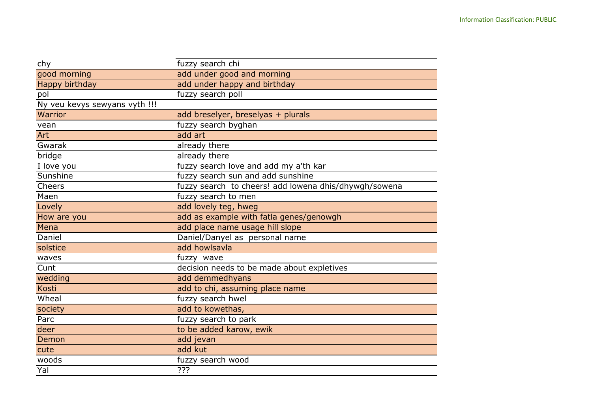| chy                           | fuzzy search chi                                      |
|-------------------------------|-------------------------------------------------------|
| good morning                  | add under good and morning                            |
| Happy birthday                | add under happy and birthday                          |
| pol                           | fuzzy search poll                                     |
| Ny veu kevys sewyans vyth !!! |                                                       |
| Warrior                       | add breselyer, breselyas + plurals                    |
| vean                          | fuzzy search byghan                                   |
| Art                           | add art                                               |
| Gwarak                        | already there                                         |
| bridge                        | already there                                         |
| I love you                    | fuzzy search love and add my a'th kar                 |
| Sunshine                      | fuzzy search sun and add sunshine                     |
| Cheers                        | fuzzy search to cheers! add lowena dhis/dhywgh/sowena |
| Maen                          | fuzzy search to men                                   |
| Lovely                        | add lovely teg, hweg                                  |
| How are you                   | add as example with fatla genes/genowgh               |
| Mena                          | add place name usage hill slope                       |
| Daniel                        | Daniel/Danyel as personal name                        |
| solstice                      | add howlsavla                                         |
| waves                         | fuzzy wave                                            |
| Cunt                          | decision needs to be made about expletives            |
| wedding                       | add demmedhyans                                       |
| Kosti                         | add to chi, assuming place name                       |
| Wheal                         | fuzzy search hwel                                     |
| society                       | add to kowethas,                                      |
| Parc                          | fuzzy search to park                                  |
| deer                          | to be added karow, ewik                               |
| Demon                         | add jevan                                             |
| cute                          | add kut                                               |
| woods                         | fuzzy search wood                                     |
| Yal                           | ???                                                   |